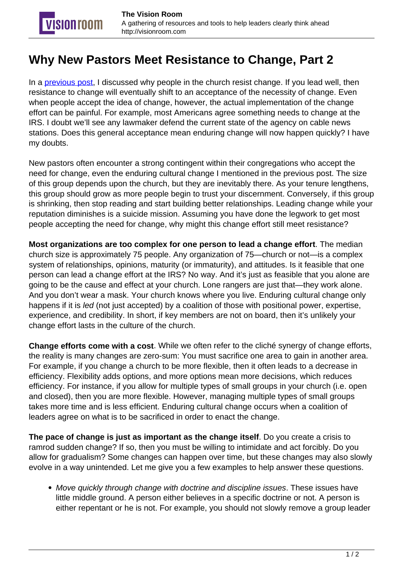## **Why New Pastors Meet Resistance to Change, Part 2**

**VISION TOOM** 

In a [previous post](http://visionroom.com/why-new-pastors-meet-resistance-to-change-part-1/), I discussed why people in the church resist change. If you lead well, then resistance to change will eventually shift to an acceptance of the necessity of change. Even when people accept the idea of change, however, the actual implementation of the change effort can be painful. For example, most Americans agree something needs to change at the IRS. I doubt we'll see any lawmaker defend the current state of the agency on cable news stations. Does this general acceptance mean enduring change will now happen quickly? I have my doubts.

New pastors often encounter a strong contingent within their congregations who accept the need for change, even the enduring cultural change I mentioned in the previous post. The size of this group depends upon the church, but they are inevitably there. As your tenure lengthens, this group should grow as more people begin to trust your discernment. Conversely, if this group is shrinking, then stop reading and start building better relationships. Leading change while your reputation diminishes is a suicide mission. Assuming you have done the legwork to get most people accepting the need for change, why might this change effort still meet resistance?

**Most organizations are too complex for one person to lead a change effort**. The median church size is approximately 75 people. Any organization of 75—church or not—is a complex system of relationships, opinions, maturity (or immaturity), and attitudes. Is it feasible that one person can lead a change effort at the IRS? No way. And it's just as feasible that you alone are going to be the cause and effect at your church. Lone rangers are just that—they work alone. And you don't wear a mask. Your church knows where you live. Enduring cultural change only happens if it is led (not just accepted) by a coalition of those with positional power, expertise, experience, and credibility. In short, if key members are not on board, then it's unlikely your change effort lasts in the culture of the church.

**Change efforts come with a cost**. While we often refer to the cliché synergy of change efforts, the reality is many changes are zero-sum: You must sacrifice one area to gain in another area. For example, if you change a church to be more flexible, then it often leads to a decrease in efficiency. Flexibility adds options, and more options mean more decisions, which reduces efficiency. For instance, if you allow for multiple types of small groups in your church (i.e. open and closed), then you are more flexible. However, managing multiple types of small groups takes more time and is less efficient. Enduring cultural change occurs when a coalition of leaders agree on what is to be sacrificed in order to enact the change.

**The pace of change is just as important as the change itself**. Do you create a crisis to ramrod sudden change? If so, then you must be willing to intimidate and act forcibly. Do you allow for gradualism? Some changes can happen over time, but these changes may also slowly evolve in a way unintended. Let me give you a few examples to help answer these questions.

• Move quickly through change with doctrine and discipline issues. These issues have little middle ground. A person either believes in a specific doctrine or not. A person is either repentant or he is not. For example, you should not slowly remove a group leader